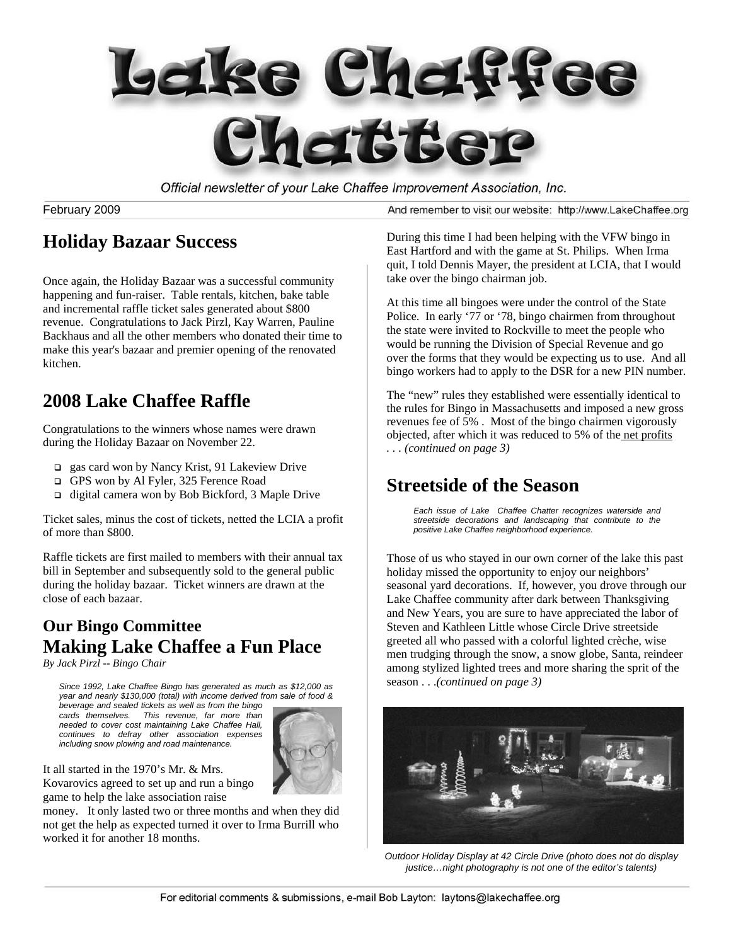

Official newsletter of your Lake Chaffee Improvement Association, Inc.

February 2009

And remember to visit our website: http://www.LakeChaffee.org

## **Holiday Bazaar Success**

Once again, the Holiday Bazaar was a successful community happening and fun-raiser. Table rentals, kitchen, bake table and incremental raffle ticket sales generated about \$800 revenue. Congratulations to Jack Pirzl, Kay Warren, Pauline Backhaus and all the other members who donated their time to make this year's bazaar and premier opening of the renovated kitchen.

# **2008 Lake Chaffee Raffle**

Congratulations to the winners whose names were drawn during the Holiday Bazaar on November 22.

- gas card won by Nancy Krist, 91 Lakeview Drive
- GPS won by Al Fyler, 325 Ference Road
- $\Box$  digital camera won by Bob Bickford, 3 Maple Drive

Ticket sales, minus the cost of tickets, netted the LCIA a profit of more than \$800.

Raffle tickets are first mailed to members with their annual tax bill in September and subsequently sold to the general public during the holiday bazaar. Ticket winners are drawn at the close of each bazaar.

#### **Our Bingo Committee Making Lake Chaffee a Fun Place**

*By Jack Pirzl -- Bingo Chair* 

*Since 1992, Lake Chaffee Bingo has generated as much as \$12,000 as year and nearly \$130,000 (total) with income derived from sale of food & beverage and sealed tickets as well as from the bingo cards themselves. This revenue, far more than needed to cover cost maintaining Lake Chaffee Hall, continues to defray other association expenses including snow plowing and road maintenance.* 



It all started in the 1970's Mr. & Mrs.

Kovarovics agreed to set up and run a bingo game to help the lake association raise

money. It only lasted two or three months and when they did not get the help as expected turned it over to Irma Burrill who worked it for another 18 months.

During this time I had been helping with the VFW bingo in East Hartford and with the game at St. Philips. When Irma quit, I told Dennis Mayer, the president at LCIA, that I would take over the bingo chairman job.

At this time all bingoes were under the control of the State Police. In early '77 or '78, bingo chairmen from throughout the state were invited to Rockville to meet the people who would be running the Division of Special Revenue and go over the forms that they would be expecting us to use. And all bingo workers had to apply to the DSR for a new PIN number.

The "new" rules they established were essentially identical to the rules for Bingo in Massachusetts and imposed a new gross revenues fee of 5% . Most of the bingo chairmen vigorously objected, after which it was reduced to 5% of the net profits *. . . (continued on page 3)* 

# **Streetside of the Season**

*Each issue of Lake Chaffee Chatter recognizes waterside and streetside decorations and landscaping that contribute to the positive Lake Chaffee neighborhood experience.* 

Those of us who stayed in our own corner of the lake this past holiday missed the opportunity to enjoy our neighbors' seasonal yard decorations. If, however, you drove through our Lake Chaffee community after dark between Thanksgiving and New Years, you are sure to have appreciated the labor of Steven and Kathleen Little whose Circle Drive streetside greeted all who passed with a colorful lighted crèche, wise men trudging through the snow, a snow globe, Santa, reindeer among stylized lighted trees and more sharing the sprit of the season . . .*(continued on page 3)*



*Outdoor Holiday Display at 42 Circle Drive (photo does not do display justice…night photography is not one of the editor's talents)*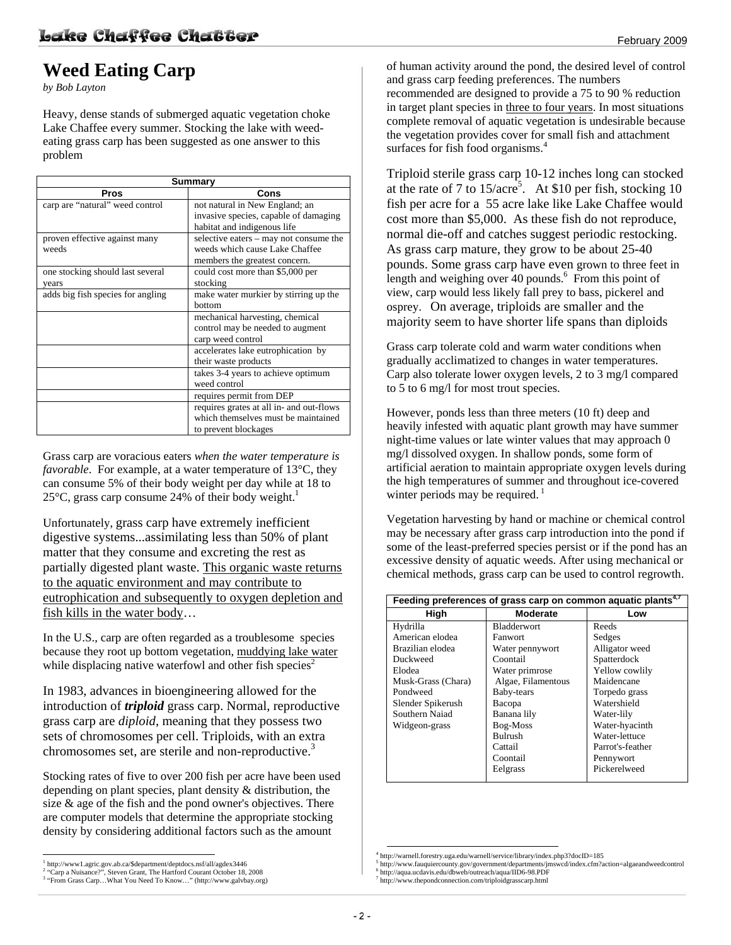# **Weed Eating Carp**

*by Bob Layton* 

Heavy, dense stands of submerged aquatic vegetation choke Lake Chaffee every summer. Stocking the lake with weedeating grass carp has been suggested as one answer to this problem

| <b>Summary</b>                    |                                          |  |
|-----------------------------------|------------------------------------------|--|
| <b>Pros</b>                       | Cons                                     |  |
| carp are "natural" weed control   | not natural in New England; an           |  |
|                                   | invasive species, capable of damaging    |  |
|                                   | habitat and indigenous life              |  |
| proven effective against many     | selective eaters – may not consume the   |  |
| weeds                             | weeds which cause Lake Chaffee           |  |
|                                   | members the greatest concern.            |  |
| one stocking should last several  | could cost more than \$5,000 per         |  |
| years                             | stocking                                 |  |
| adds big fish species for angling | make water murkier by stirring up the    |  |
|                                   | hottom                                   |  |
|                                   | mechanical harvesting, chemical          |  |
|                                   | control may be needed to augment         |  |
|                                   | carp weed control                        |  |
|                                   | accelerates lake eutrophication by       |  |
|                                   | their waste products                     |  |
|                                   | takes 3-4 years to achieve optimum       |  |
|                                   | weed control                             |  |
|                                   | requires permit from DEP                 |  |
|                                   | requires grates at all in- and out-flows |  |
|                                   | which themselves must be maintained      |  |
|                                   | to prevent blockages                     |  |

Grass carp are voracious eaters *when the water temperature is favorable*. For example, at a water temperature of 13<sup>o</sup>C, they can consume 5% of their body weight per day while at 18 to 25 $\degree$ C, grass carp consume 24% of their body weight.<sup>1</sup>

Unfortunately, grass carp have extremely inefficient digestive systems...assimilating less than 50% of plant matter that they consume and excreting the rest as partially digested plant waste. This organic waste returns to the aquatic environment and may contribute to eutrophication and subsequently to oxygen depletion and fish kills in the water body…

In the U.S., carp are often regarded as a troublesome species because they root up bottom vegetation, muddying lake water while displacing native waterfowl and other fish species<sup>2</sup>

In 1983, advances in bioengineering allowed for the introduction of *triploid* grass carp. Normal, reproductive grass carp are *diploid*, meaning that they possess two sets of chromosomes per cell. Triploids, with an extra chromosomes set, are sterile and non-reproductive.<sup>3</sup>

Stocking rates of five to over 200 fish per acre have been used depending on plant species, plant density & distribution, the size & age of the fish and the pond owner's objectives. There are computer models that determine the appropriate stocking density by considering additional factors such as the amount

of human activity around the pond, the desired level of control and grass carp feeding preferences. The numbers recommended are designed to provide a 75 to 90 % reduction in target plant species in three to four years. In most situations complete removal of aquatic vegetation is undesirable because the vegetation provides cover for small fish and attachment surfaces for fish food organisms.<sup>4</sup>

Triploid sterile grass carp 10-12 inches long can stocked at the rate of 7 to  $15/\text{acre}^5$ . At \$10 per fish, stocking 10 fish per acre for a 55 acre lake like Lake Chaffee would cost more than \$5,000. As these fish do not reproduce, normal die-off and catches suggest periodic restocking. As grass carp mature, they grow to be about 25-40 pounds. Some grass carp have even grown to three feet in length and weighing over  $40$  pounds.<sup>6</sup> From this point of view, carp would less likely fall prey to bass, pickerel and osprey. On average, triploids are smaller and the majority seem to have shorter life spans than diploids

Grass carp tolerate cold and warm water conditions when gradually acclimatized to changes in water temperatures. Carp also tolerate lower oxygen levels, 2 to 3 mg/l compared to 5 to 6 mg/l for most trout species.

However, ponds less than three meters (10 ft) deep and heavily infested with aquatic plant growth may have summer night-time values or late winter values that may approach 0 mg/l dissolved oxygen. In shallow ponds, some form of artificial aeration to maintain appropriate oxygen levels during the high temperatures of summer and throughout ice-covered winter periods may be required.  $\frac{1}{1}$ 

Vegetation harvesting by hand or machine or chemical control may be necessary after grass carp introduction into the pond if some of the least-preferred species persist or if the pond has an excessive density of aquatic weeds. After using mechanical or chemical methods, grass carp can be used to control regrowth.

| Feeding preferences of grass carp on common aquatic plants <sup>4,</sup> |                    |                  |  |  |
|--------------------------------------------------------------------------|--------------------|------------------|--|--|
| High                                                                     | <b>Moderate</b>    | Low              |  |  |
| Hydrilla                                                                 | <b>Bladderwort</b> | Reeds            |  |  |
| American elodea                                                          | Fanwort            | Sedges           |  |  |
| Brazilian elodea                                                         | Water pennywort    | Alligator weed   |  |  |
| Duckweed                                                                 | Coontail           | Spatterdock      |  |  |
| Elodea                                                                   | Water primrose     | Yellow cowlily   |  |  |
| Musk-Grass (Chara)                                                       | Algae, Filamentous | Maidencane       |  |  |
| Pondweed                                                                 | Baby-tears         | Torpedo grass    |  |  |
| Slender Spikerush                                                        | Bacopa             | Watershield      |  |  |
| Southern Naiad                                                           | Banana lily        | Water-lily       |  |  |
| Widgeon-grass                                                            | Bog-Moss           | Water-hyacinth   |  |  |
|                                                                          | Bulrush            | Water-lettuce    |  |  |
|                                                                          | Cattail            | Parrot's-feather |  |  |
|                                                                          | Coontail           | Pennywort        |  |  |
|                                                                          | Eelgrass           | Pickerelweed     |  |  |

http://www.thepondconnection.com/triploidgrasscarp.html

<sup>&</sup>lt;sup>1</sup><br>
<sup>1</sup> http://www1.agric.gov.ab.ca/\$department/deptdocs.nsf/all/agdex3446<br>
<sup>2</sup> "Cern e Nuisense?" Staven Great The Hertford Covent Ostober 18

<sup>&</sup>quot;Carp a Nuisance?", Steven Grant, The Hartford Courant October 18, 2008 "From Grass Carp…What You Need To Know…" (http://www.galvbay.org)

 <sup>4</sup> http://warnell.forestry.uga.edu/warnell/service/library/index.php3?docID=185 5

http://www.fauquiercounty.gov/government/departments/jmswcd/index.cfm?action=algaeandweedcontrol 6 http://aqua.ucdavis.edu/dbweb/outreach/aqua/IID6-98.PDF 7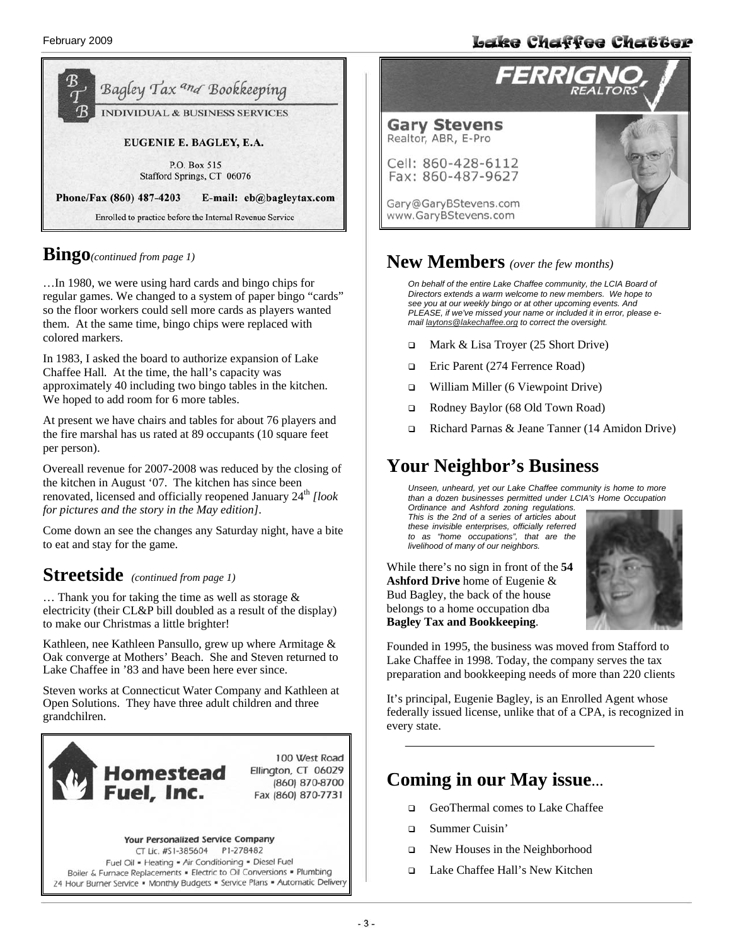

#### **Bingo***(continued from page 1)*

…In 1980, we were using hard cards and bingo chips for regular games. We changed to a system of paper bingo "cards" so the floor workers could sell more cards as players wanted them. At the same time, bingo chips were replaced with colored markers.

In 1983, I asked the board to authorize expansion of Lake Chaffee Hall*.* At the time, the hall's capacity was approximately 40 including two bingo tables in the kitchen. We hoped to add room for 6 more tables.

At present we have chairs and tables for about 76 players and the fire marshal has us rated at 89 occupants (10 square feet per person).

Overeall revenue for 2007-2008 was reduced by the closing of the kitchen in August '07. The kitchen has since been renovated, licensed and officially reopened January 24<sup>th</sup> [look *for pictures and the story in the May edition]*.

Come down an see the changes any Saturday night, have a bite to eat and stay for the game.

### **Streetside** *(continued from page 1)*

… Thank you for taking the time as well as storage & electricity (their CL&P bill doubled as a result of the display) to make our Christmas a little brighter!

Kathleen, nee Kathleen Pansullo, grew up where Armitage & Oak converge at Mothers' Beach. She and Steven returned to Lake Chaffee in '83 and have been here ever since.

Steven works at Connecticut Water Company and Kathleen at Open Solutions. They have three adult children and three grandchilren.



100 West Road Ellington, CT 06029 (860) 870-8700 Fax (860) 870-7731



# **FERRIGNO Gary Stevens**<br>Realtor, ABR, E-Pro Cell: 860-428-6112 Fax: 860-487-9627 Gary@GaryBStevens.com www.GaryBStevens.com

Lake Chaffee Chatter

#### **New Members** *(over the few months)*

*On behalf of the entire Lake Chaffee community, the LCIA Board of Directors extends a warm welcome to new members. We hope to see you at our weekly bingo or at other upcoming events. And PLEASE, if we've missed your name or included it in error, please email laytons@lakechaffee.org to correct the oversight.* 

- Mark & Lisa Troyer (25 Short Drive)
- □ Eric Parent (274 Ferrence Road)
- William Miller (6 Viewpoint Drive)
- Rodney Baylor (68 Old Town Road)
- Richard Parnas & Jeane Tanner (14 Amidon Drive)

### **Your Neighbor's Business**

*Unseen, unheard, yet our Lake Chaffee community is home to more than a dozen businesses permitted under LCIA's Home Occupation* 

*Ordinance and Ashford zoning regulations. This is the 2nd of a series of articles about these invisible enterprises, officially referred to as "home occupations", that are the livelihood of many of our neighbors.* 

While there's no sign in front of the **54 Ashford Drive** home of Eugenie & Bud Bagley, the back of the house belongs to a home occupation dba **Bagley Tax and Bookkeeping**.



Founded in 1995, the business was moved from Stafford to Lake Chaffee in 1998. Today, the company serves the tax preparation and bookkeeping needs of more than 220 clients

It's principal, Eugenie Bagley, is an Enrolled Agent whose federally issued license, unlike that of a CPA, is recognized in every state.

#### **Coming in our May issue…**

- GeoThermal comes to Lake Chaffee
- Summer Cuisin'
- New Houses in the Neighborhood
- Lake Chaffee Hall's New Kitchen